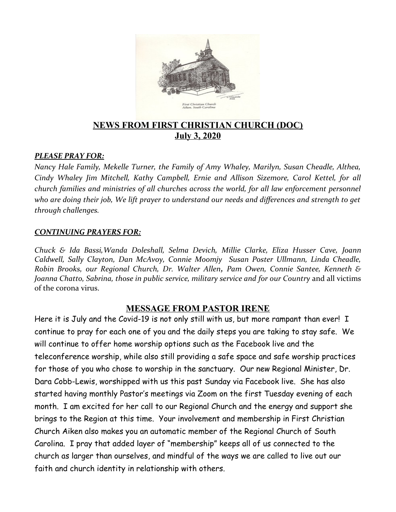

### **NEWS FROM FIRST CHRISTIAN CHURCH (DOC) July 3, 2020**

#### *PLEASE PRAY FOR:*

*Nancy Hale Family, Mekelle Turner, the Family of Amy Whaley, Marilyn, Susan Cheadle, Althea, Cindy Whaley Jim Mitchell, Kathy Campbell, Ernie and Allison Sizemore, Carol Kettel, for all church families and ministries of all churches across the world, for all law enforcement personnel who are doing their job, We lift prayer to understand our needs and differences and strength to get through challenges.* 

#### *CONTINUING PRAYERS FOR:*

*Chuck & Ida Bassi,Wanda Doleshall, Selma Devich, Millie Clarke, Eliza Husser Cave, Joann Caldwell, Sally Clayton, Dan McAvoy, Connie Moomjy Susan Poster Ullmann, Linda Cheadle, Robin Brooks, our Regional Church, Dr. Walter Allen, Pam Owen, Connie Santee, Kenneth & Joanna Chatto, Sabrina, those in public service, military service and for our Country* and all victims of the corona virus.

#### **MESSAGE FROM PASTOR IRENE**

Here it is July and the Covid-19 is not only still with us, but more rampant than ever! I continue to pray for each one of you and the daily steps you are taking to stay safe. We will continue to offer home worship options such as the Facebook live and the teleconference worship, while also still providing a safe space and safe worship practices for those of you who chose to worship in the sanctuary. Our new Regional Minister, Dr. Dara Cobb-Lewis, worshipped with us this past Sunday via Facebook live. She has also started having monthly Pastor's meetings via Zoom on the first Tuesday evening of each month. I am excited for her call to our Regional Church and the energy and support she brings to the Region at this time. Your involvement and membership in First Christian Church Aiken also makes you an automatic member of the Regional Church of South Carolina. I pray that added layer of "membership" keeps all of us connected to the church as larger than ourselves, and mindful of the ways we are called to live out our faith and church identity in relationship with others.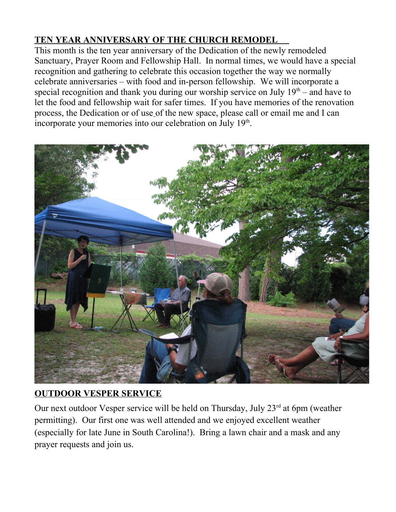# **TEN YEAR ANNIVERSARY OF THE CHURCH REMODEL**

This month is the ten year anniversary of the Dedication of the newly remodeled Sanctuary, Prayer Room and Fellowship Hall. In normal times, we would have a special recognition and gathering to celebrate this occasion together the way we normally celebrate anniversaries – with food and in-person fellowship. We will incorporate a special recognition and thank you during our worship service on July  $19<sup>th</sup>$  – and have to let the food and fellowship wait for safer times. If you have memories of the renovation process, the Dedication or of use of the new space, please call or email me and I can incorporate your memories into our celebration on July  $19<sup>th</sup>$ .



## **OUTDOOR VESPER SERVICE**

Our next outdoor Vesper service will be held on Thursday, July  $23<sup>rd</sup>$  at 6pm (weather permitting). Our first one was well attended and we enjoyed excellent weather (especially for late June in South Carolina!). Bring a lawn chair and a mask and any prayer requests and join us.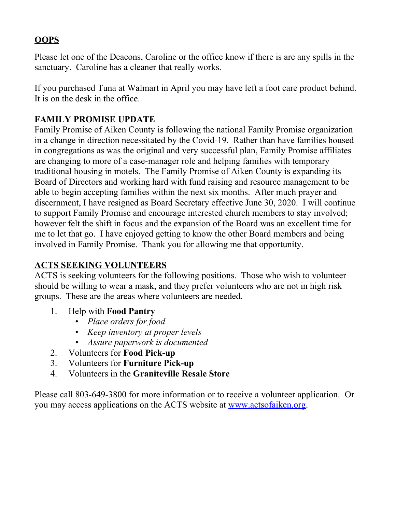## **OOPS**

Please let one of the Deacons, Caroline or the office know if there is are any spills in the sanctuary. Caroline has a cleaner that really works.

If you purchased Tuna at Walmart in April you may have left a foot care product behind. It is on the desk in the office.

### **FAMILY PROMISE UPDATE**

Family Promise of Aiken County is following the national Family Promise organization in a change in direction necessitated by the Covid-19. Rather than have families housed in congregations as was the original and very successful plan, Family Promise affiliates are changing to more of a case-manager role and helping families with temporary traditional housing in motels. The Family Promise of Aiken County is expanding its Board of Directors and working hard with fund raising and resource management to be able to begin accepting families within the next six months. After much prayer and discernment, I have resigned as Board Secretary effective June 30, 2020. I will continue to support Family Promise and encourage interested church members to stay involved; however felt the shift in focus and the expansion of the Board was an excellent time for me to let that go. I have enjoyed getting to know the other Board members and being involved in Family Promise. Thank you for allowing me that opportunity.

## **ACTS SEEKING VOLUNTEERS**

ACTS is seeking volunteers for the following positions. Those who wish to volunteer should be willing to wear a mask, and they prefer volunteers who are not in high risk groups. These are the areas where volunteers are needed.

- 1. Help with **Food Pantry**
	- *Place orders for food*
	- *Keep inventory at proper levels*
	- *Assure paperwork is documented*
- 2. Volunteers for **Food Pick-up**
- 3. Volunteers for **Furniture Pick-up**
- 4. Volunteers in the **Graniteville Resale Store**

Please call 803-649-3800 for more information or to receive a volunteer application. Or you may access applications on the ACTS website at <u>[www.actsofaiken.org](https://actsofaiken.us3.list-manage.com/track/click?u=9a5580c3791e80876a5bcf379&id=ac20872764&e=c6875d7979)</u>.